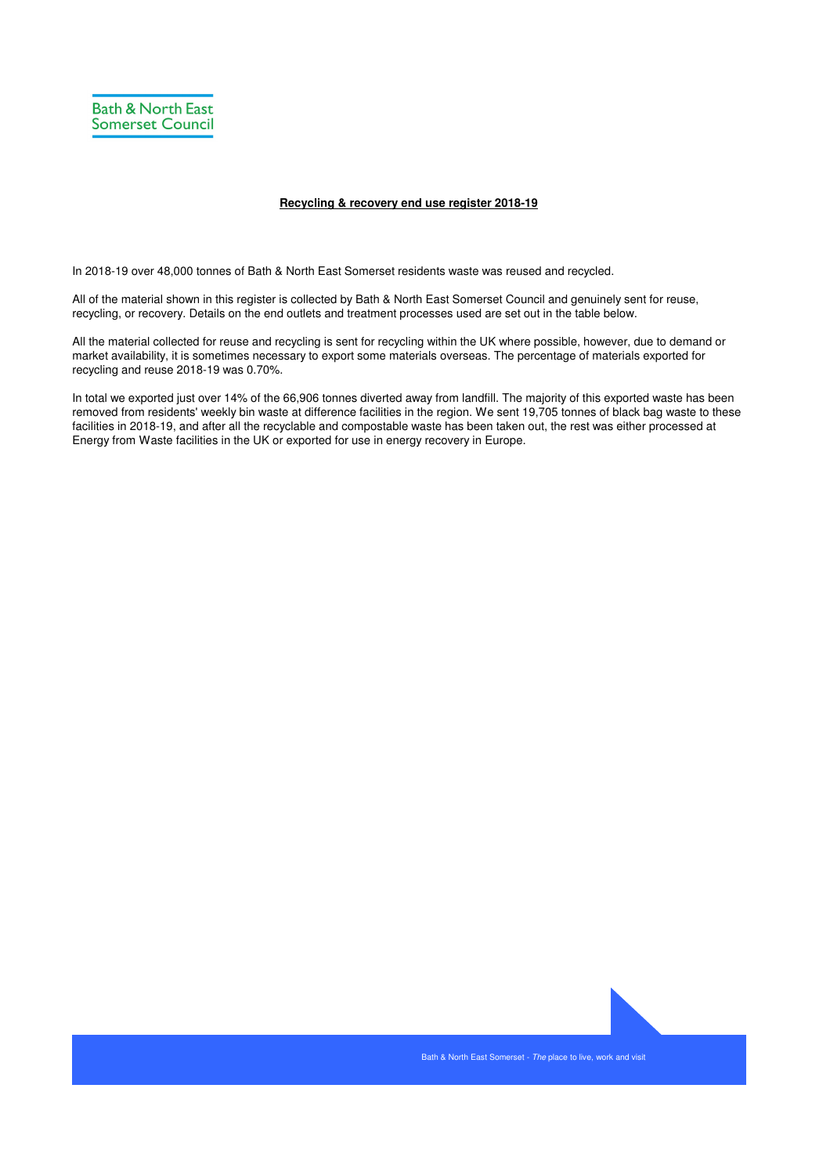

## **Recycling & recovery end use register 2018-19**

In 2018-19 over 48,000 tonnes of Bath & North East Somerset residents waste was reused and recycled.

All of the material shown in this register is collected by Bath & North East Somerset Council and genuinely sent for reuse, recycling, or recovery. Details on the end outlets and treatment processes used are set out in the table below.

All the material collected for reuse and recycling is sent for recycling within the UK where possible, however, due to demand or market availability, it is sometimes necessary to export some materials overseas. The percentage of materials exported for recycling and reuse 2018-19 was 0.70%.

In total we exported just over 14% of the 66,906 tonnes diverted away from landfill. The majority of this exported waste has been removed from residents' weekly bin waste at difference facilities in the region. We sent 19,705 tonnes of black bag waste to these facilities in 2018-19, and after all the recyclable and compostable waste has been taken out, the rest was either processed at Energy from Waste facilities in the UK or exported for use in energy recovery in Europe.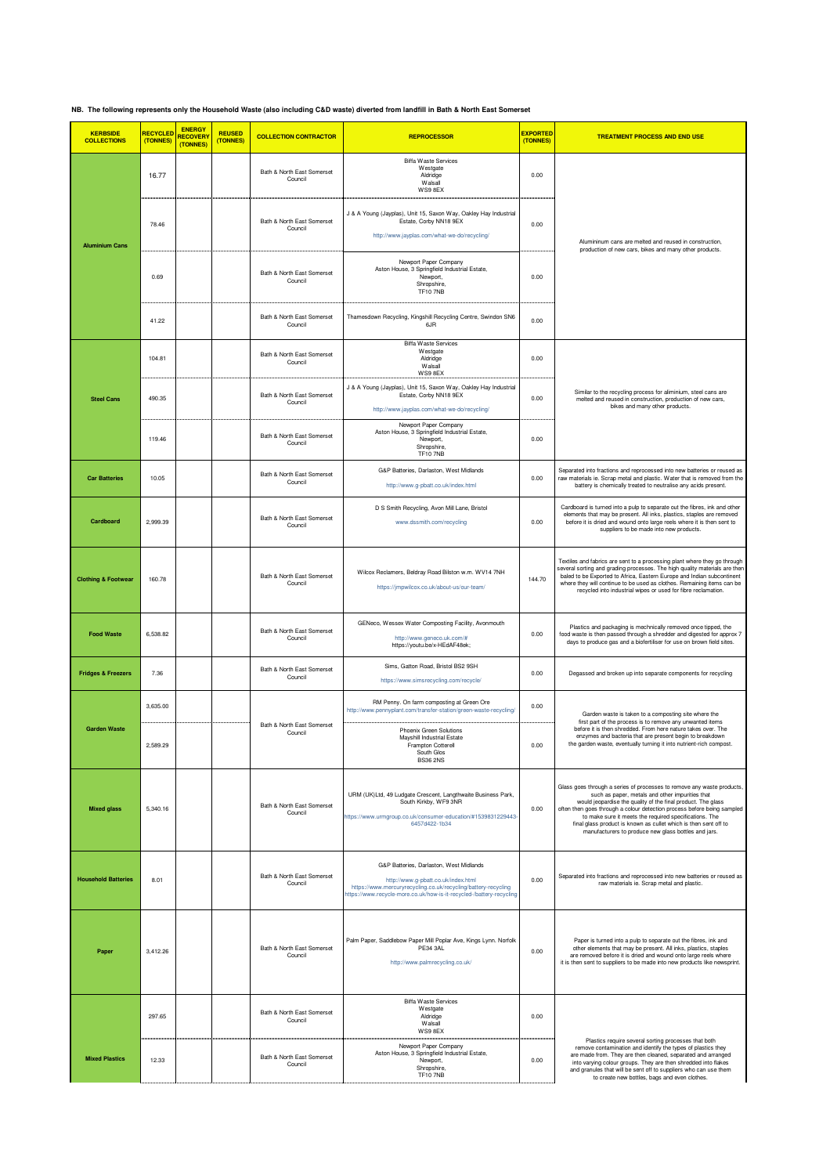**NB. The following represents only the Household Waste (also including C&D waste) diverted from landfill in Bath & North East Somerset**

| <b>KERBSIDE</b><br><b>COLLECTIONS</b> | <b>RECYCLED</b><br>(TONNES) | <b>ENERGY</b><br><b>RECOVERY</b><br>(TONNES) | <b>REUSED</b><br>(TONNES) | <b>COLLECTION CONTRACTOR</b>          | <b>REPROCESSOR</b>                                                                                                                                                                                                       | <b>EXPORTED</b><br>(TONNES) | <b>TREATMENT PROCESS AND END USE</b>                                                                                                                                                                                                                                                                                                                                                                                                                       |
|---------------------------------------|-----------------------------|----------------------------------------------|---------------------------|---------------------------------------|--------------------------------------------------------------------------------------------------------------------------------------------------------------------------------------------------------------------------|-----------------------------|------------------------------------------------------------------------------------------------------------------------------------------------------------------------------------------------------------------------------------------------------------------------------------------------------------------------------------------------------------------------------------------------------------------------------------------------------------|
|                                       | 16.77                       |                                              |                           | Bath & North East Somerset<br>Counci  | <b>Biffa Waste Services</b><br>Westgate<br>Aldridge<br>Walsall<br>WS9 8EX                                                                                                                                                | 0.00                        |                                                                                                                                                                                                                                                                                                                                                                                                                                                            |
| <b>Aluminium Cans</b>                 | 78.46                       |                                              |                           | Bath & North East Somerset<br>Council | J & A Young (Jayplas), Unit 15, Saxon Way, Oakley Hay Industrial<br>Estate, Corby NN18 9EX<br>http://www.jayplas.com/what-we-do/recycling/                                                                               | 0.00                        | Alumininum cans are melted and reused in construction,                                                                                                                                                                                                                                                                                                                                                                                                     |
|                                       | 0.69                        |                                              |                           | Bath & North East Somerset<br>Council | Newport Paper Company<br>Aston House, 3 Springfield Industrial Estate,<br>Newport,<br>Shropshire,<br><b>TF10 7NB</b>                                                                                                     | 0.00                        | production of new cars, bikes and many other products.                                                                                                                                                                                                                                                                                                                                                                                                     |
|                                       | 41.22                       |                                              |                           | Bath & North East Somerset<br>Council | Thamesdown Recycling, Kingshill Recycling Centre, Swindon SN6<br>6JR                                                                                                                                                     | 0.00                        |                                                                                                                                                                                                                                                                                                                                                                                                                                                            |
|                                       | 104.81                      |                                              |                           | Bath & North East Somerset<br>Council | <b>Biffa Waste Services</b><br>Westgate<br>Aldridge<br>Walsall<br>WS9 8EX                                                                                                                                                | 0.00                        |                                                                                                                                                                                                                                                                                                                                                                                                                                                            |
| <b>Steel Cans</b>                     | 490.35                      |                                              |                           | Bath & North East Somerset<br>Council | J & A Young (Jayplas), Unit 15, Saxon Way, Oakley Hay Industrial<br>Estate, Corby NN18 9EX<br>http://www.jayplas.com/what-we-do/recycling/                                                                               | 0.00                        | Similar to the recycling process for aliminium, steel cans are<br>melted and reused in construction, production of new cars,<br>bikes and many other products.                                                                                                                                                                                                                                                                                             |
|                                       | 119.46                      |                                              |                           | Bath & North East Somerset<br>Counci  | Newport Paper Company<br>Aston House, 3 Springfield Industrial Estate,<br>Newport,<br>Shropshire,<br><b>TF10 7NB</b>                                                                                                     | 0.00                        |                                                                                                                                                                                                                                                                                                                                                                                                                                                            |
| <b>Car Batteries</b>                  | 10.05                       |                                              |                           | Bath & North East Somerset<br>Council | G&P Batteries, Darlaston, West Midlands<br>http://www.g-pbatt.co.uk/index.html                                                                                                                                           | 0.00                        | Separated into fractions and reprocessed into new batteries or reused as<br>raw materials ie. Scrap metal and plastic. Water that is removed from the<br>battery is chemically treated to neutralise any acids present.                                                                                                                                                                                                                                    |
| Cardboard                             | 2,999.39                    |                                              |                           | Bath & North East Somerset<br>Council | D S Smith Recycling, Avon Mill Lane, Bristol<br>www.dssmith.com/recycling                                                                                                                                                | 0.00                        | Cardboard is turned into a pulp to separate out the fibres, ink and other<br>elements that may be present. All inks, plastics, staples are removed<br>before it is dried and wound onto large reels where it is then sent to<br>suppliers to be made into new products.                                                                                                                                                                                    |
| <b>Clothing &amp; Footwear</b>        | 160.78                      |                                              |                           | Bath & North East Somerset<br>Counci  | Wilcox Reclamers, Beldray Road Bilston w.m. WV14 7NH<br>https://jmpwilcox.co.uk/about-us/our-team/                                                                                                                       | 144.70                      | Textiles and fabrics are sent to a processing plant where they go through<br>several sorting and grading processes. The high quality materials are then<br>baled to be Exported to Africa, Eastern Europe and Indian subcontinent<br>where they will continue to be used as clothes. Remaining items can be<br>recycled into industrial wipes or used for fibre reclamation.                                                                               |
| <b>Food Waste</b>                     | 6,538.82                    |                                              |                           | Bath & North East Somerset<br>Council | GENeco, Wessex Water Composting Facility, Avonmouth<br>http://www.geneco.uk.com/#<br>https://youtu.be/x-HEdAF48ek;                                                                                                       | 0.00                        | Plastics and packaging is mechnically removed once tipped, the<br>food waste is then passed through a shredder and digested for approx 7<br>days to produce gas and a biofertiliser for use on brown field sites.                                                                                                                                                                                                                                          |
| <b>Fridges &amp; Freezers</b>         | 7.36                        |                                              |                           | Bath & North East Somerset<br>Counci  | Sims, Gatton Road, Bristol BS2 9SH<br>https://www.simsrecycling.com/recycle/                                                                                                                                             | 0.00                        | Degassed and broken up into separate components for recycling                                                                                                                                                                                                                                                                                                                                                                                              |
|                                       | 3,635.00                    |                                              |                           | Bath & North East Somerset            | RM Penny. On farm composting at Green Ore<br>http://www.pennyplant.com/transfer-station/green-waste-recycling/                                                                                                           | 0.00                        | Garden waste is taken to a composting site where the<br>first part of the process is to remove any unwanted items                                                                                                                                                                                                                                                                                                                                          |
| <b>Garden Waste</b>                   | 2,589.29                    |                                              |                           | Council                               | Phoenix Green Solutions<br>Mayshill Industrial Estate<br>Frampton Cotterell<br>South Glos<br><b>BS36 2NS</b>                                                                                                             | 0.00                        | before it is then shredded. From here nature takes over. The<br>enzymes and bacteria that are present begin to breakdown<br>the garden waste, eventually turning it into nutrient-rich compost                                                                                                                                                                                                                                                             |
| <b>Mixed glass</b>                    | 5,340.16                    |                                              |                           | Bath & North East Somerset<br>Council | URM (UK)Ltd, 49 Ludgate Crescent, Langthwaite Business Park,<br>South Kirkby, WF9 3NR<br>https://www.urmgroup.co.uk/consumer-education/#1539831229443-<br>6457d422-1b34                                                  | 0.00                        | Glass goes through a series of processes to remove any waste products,<br>such as paper, metals and other impurities that<br>would jeopardise the quality of the final product. The glass<br>often then goes through a colour detection process before being sampled<br>to make sure it meets the required specifications. The<br>final glass product is known as cullet which is then sent off to<br>manufacturers to produce new glass bottles and jars. |
| <b>Household Batteries</b>            | 8.01                        |                                              |                           | Bath & North East Somerset<br>Council | G&P Batteries, Darlaston, West Midlands<br>http://www.g-pbatt.co.uk/index.html<br>https://www.mercuryrecycling.co.uk/recycling/battery-recycling<br>https://www.recycle-more.co.uk/how-is-it-recycled-/battery-recycling | 0.00                        | Separated into fractions and reprocessed into new batteries or reused as<br>raw materials ie. Scrap metal and plastic.                                                                                                                                                                                                                                                                                                                                     |
| Paper                                 | 3,412.26                    |                                              |                           | Bath & North East Somerset<br>Counci  | Palm Paper, Saddlebow Paper Mill Poplar Ave, Kings Lynn. Norfolk<br>PE34 3AL<br>http://www.palmrecycling.co.uk/                                                                                                          | 0.00                        | Paper is turned into a pulp to separate out the fibres, ink and<br>other elements that may be present. All inks, plastics, staples<br>are removed before it is dried and wound onto large reels where<br>it is then sent to suppliers to be made into new products like newsprint.                                                                                                                                                                         |
|                                       | 297.65                      |                                              |                           | Bath & North East Somerset<br>Council | <b>Biffa Waste Services</b><br>Westgate<br>Aldridge<br>Walsall<br>WS9 8EX                                                                                                                                                | 0.00                        |                                                                                                                                                                                                                                                                                                                                                                                                                                                            |
| <b>Mixed Plastics</b>                 | 12.33                       |                                              |                           | Bath & North East Somerset<br>Counci  | Newport Paper Company<br>Aston House, 3 Springfield Industrial Estate,<br>Newport,<br>Shropshire,<br><b>TF10 7NB</b>                                                                                                     | 0.00                        | Plastics require several sorting processes that both<br>remove contamination and identify the types of plastics they<br>are made from. They are then cleaned, separated and arranged<br>into varying colour groups. They are then shredded into flakes<br>and granules that will be sent off to suppliers who can use them<br>to create new bottles, bags and even clothes.                                                                                |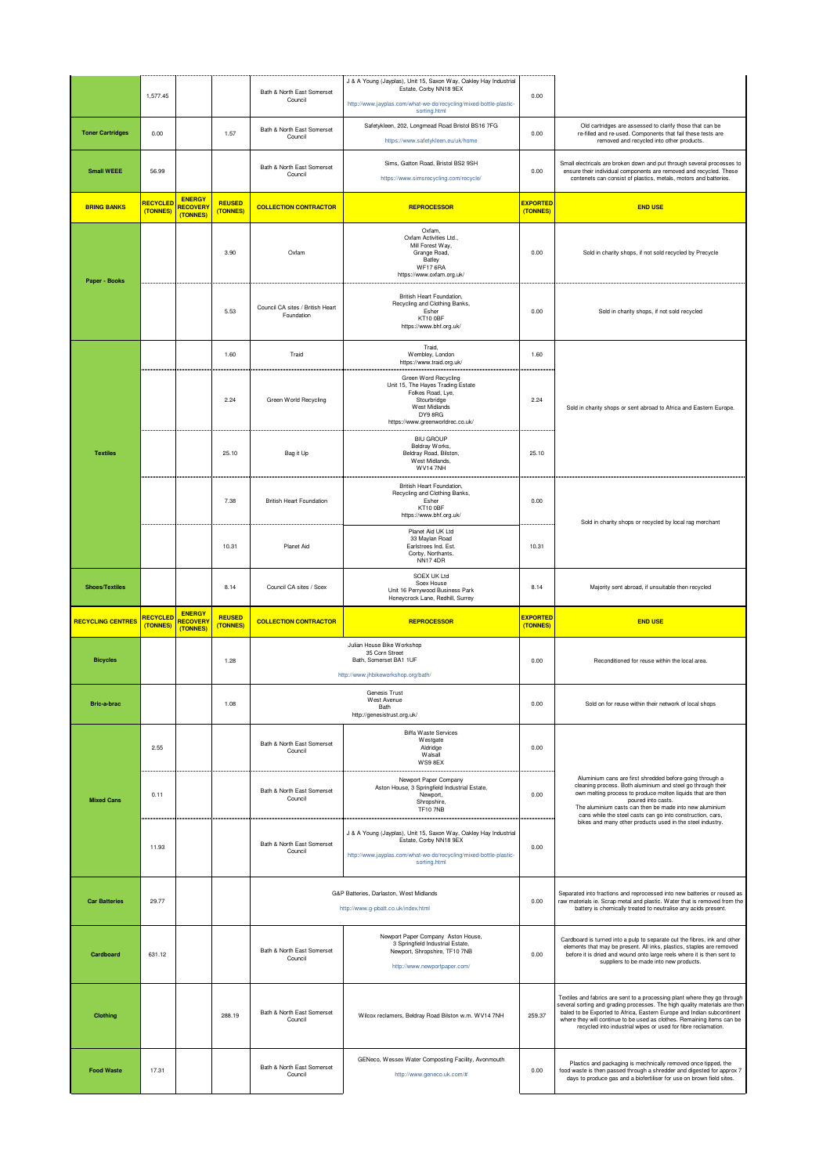|                          |                             |                                              |                           | Bath & North East Somerset                     | J & A Young (Jayplas), Unit 15, Saxon Way, Oakley Hay Industrial<br>Estate, Corby NN18 9EX                                                                                      |                             |                                                                                                                                                                                                                                                                                                                                                                              |
|--------------------------|-----------------------------|----------------------------------------------|---------------------------|------------------------------------------------|---------------------------------------------------------------------------------------------------------------------------------------------------------------------------------|-----------------------------|------------------------------------------------------------------------------------------------------------------------------------------------------------------------------------------------------------------------------------------------------------------------------------------------------------------------------------------------------------------------------|
|                          | 1,577.45                    |                                              |                           | Council                                        | http://www.jayplas.com/what-we-do/recycling/mixed-bottle-plastic-<br>sorting.html                                                                                               | 0.00                        |                                                                                                                                                                                                                                                                                                                                                                              |
| <b>Toner Cartridges</b>  | 0.00                        |                                              | 1.57                      | Bath & North East Somerset<br>Council          | Safetykleen, 202, Longmead Road Bristol BS16 7FG<br>https://www.safetykleen.eu/uk/home                                                                                          | 0.00                        | Old cartridges are assessed to clarify those that can be<br>re-filled and re-used. Components that fail these tests are<br>removed and recycled into other products.                                                                                                                                                                                                         |
| <b>Small WEEE</b>        | 56.99                       |                                              |                           | Bath & North East Somerset<br>Council          | Sims, Gatton Road, Bristol BS2 9SH<br>https://www.simsrecycling.com/recycle/                                                                                                    | 0.00                        | Small electricals are broken down and put through several processes to<br>ensure their individual components are removed and recycled. These<br>contenets can consist of plastics, metals, motors and batteries.                                                                                                                                                             |
| <b>BRING BANKS</b>       | <b>RECYCLED</b><br>(TONNES) | <b>ENERGY</b><br><b>RECOVERY</b><br>(TONNES) | <b>REUSED</b><br>(TONNES) | <b>COLLECTION CONTRACTOR</b>                   | <b>REPROCESSOR</b>                                                                                                                                                              | <b>EXPORTED</b><br>(TONNES) | <b>END USE</b>                                                                                                                                                                                                                                                                                                                                                               |
| Paper - Books            |                             |                                              | 3.90                      | Oxfam                                          | Oxfam,<br>Oxfam Activities Ltd.,<br>Mill Forest Way,<br>Grange Road,<br>Batley<br>WF17 6RA<br>https://www.oxfam.org.uk/                                                         | 0.00                        | Sold in charity shops, if not sold recycled by Precycle                                                                                                                                                                                                                                                                                                                      |
|                          |                             |                                              | 5.53                      | Council CA sites / British Heart<br>Foundation | British Heart Foundation,<br>Recycling and Clothing Banks,<br>Esher<br>KT10 OBF<br>https://www.bhf.org.uk/                                                                      | 0.00                        | Sold in charity shops, if not sold recycled                                                                                                                                                                                                                                                                                                                                  |
|                          |                             |                                              | 1.60                      | Traid                                          | Traid,<br>Wembley, London<br>https://www.traid.org.uk/                                                                                                                          | 1.60                        |                                                                                                                                                                                                                                                                                                                                                                              |
|                          |                             |                                              | 2.24                      | Green World Recycling                          | Green Word Recycling<br>Unit 15, The Hayes Trading Estate<br>Folkes Road, Lye,<br>Stourbridge<br>West Midlands<br>DY9 8RG<br>https://www.greenworldrec.co.uk/                   | 2.24                        | Sold in charity shops or sent abroad to Africa and Eastern Europe.                                                                                                                                                                                                                                                                                                           |
| <b>Textiles</b>          |                             |                                              | 25.10                     | Bag it Up                                      | <b>BIU GROUP</b><br>Beldray Works,<br>Beldray Road, Bilston,<br>West Midlands,<br><b>WV14 7NH</b>                                                                               | 25.10                       |                                                                                                                                                                                                                                                                                                                                                                              |
|                          |                             |                                              | 7.38                      | <b>British Heart Foundation</b>                | British Heart Foundation,<br>Recycling and Clothing Banks,<br>Esher<br>KT10 OBF<br>https://www.bhf.org.uk/                                                                      | 0.00                        | Sold in charity shops or recycled by local rag merchant                                                                                                                                                                                                                                                                                                                      |
|                          |                             |                                              | 10.31                     | Planet Aid                                     | Planet Aid UK Ltd<br>33 Maylan Road<br>Earlstrees Ind. Est.<br>Corby, Northants.<br><b>NN174DR</b>                                                                              | 10.31                       |                                                                                                                                                                                                                                                                                                                                                                              |
| <b>Shoes/Textiles</b>    |                             |                                              | 8.14                      | Council CA sites / Soex                        | SOEX UK Ltd<br>Soex House                                                                                                                                                       | 8.14                        | Majority sent abroad, if unsuitable then recycled                                                                                                                                                                                                                                                                                                                            |
|                          |                             |                                              |                           |                                                | Unit 16 Perrywood Business Park<br>Honeycrock Lane, Redhill, Surrey                                                                                                             |                             |                                                                                                                                                                                                                                                                                                                                                                              |
| <b>RECYCLING CENTRES</b> | <b>RECYCLED</b><br>(TONNES) | <b>ENERGY</b><br><b>RECOVERY</b><br>(TONNES) | <b>REUSED</b><br>(TONNES) | <b>COLLECTION CONTRACTOR</b>                   | <b>REPROCESSOR</b>                                                                                                                                                              | <b>EXPORTED</b><br>(TONNES) | <b>END USE</b>                                                                                                                                                                                                                                                                                                                                                               |
| <b>Bicycles</b>          |                             |                                              | 1.28                      |                                                | Julian House Bike Workshop<br>35 Corn Street<br>Bath, Somerset BA1 1UF<br>http://www.jhbikeworkshop.org/bath/                                                                   | 0.00                        | Reconditioned for reuse within the local area.                                                                                                                                                                                                                                                                                                                               |
| Bric-a-brac              |                             |                                              | 1.08                      |                                                | Genesis Trust<br>West Avenue<br>Bath<br>http://genesistrust.org.uk/                                                                                                             | 0.00                        | Sold on for reuse within their network of local shops                                                                                                                                                                                                                                                                                                                        |
|                          | 2.55                        |                                              |                           | Bath & North East Somerset<br>Council          | Biffa Waste Services<br>Westgate<br>Aldridge<br>Walsall<br>WS9 8EX                                                                                                              | 0.00                        |                                                                                                                                                                                                                                                                                                                                                                              |
| <b>Mixed Cans</b>        | 0.11                        |                                              |                           | Bath & North East Somerset<br>Council          | Newport Paper Company<br>Aston House, 3 Springfield Industrial Estate,<br>Newport,<br>Shropshire,<br><b>TF10 7NB</b>                                                            | 0.00                        | Aluminium cans are first shredded before going through a<br>cleaning process. Both aluminium and steel go through their<br>own melting process to produce molten liquids that are then<br>poured into casts.<br>The aluminium casts can then be made into new aluminium<br>cans while the steel casts can go into construction, cars,                                        |
|                          | 11.93                       |                                              |                           | Bath & North East Somerset<br>Council          | J & A Young (Jayplas), Unit 15, Saxon Way, Oakley Hay Industrial<br>Estate, Corby NN18 9EX<br>http://www.jayplas.com/what-we-do/recycling/mixed-bottle-plastic-<br>sorting.html | 0.00                        | bikes and many other products used in the steel industry.                                                                                                                                                                                                                                                                                                                    |
| <b>Car Batteries</b>     | 29.77                       |                                              |                           |                                                | G&P Batteries, Darlaston, West Midlands<br>http://www.g-pbatt.co.uk/index.html                                                                                                  | 0.00                        | Separated into fractions and reprocessed into new batteries or reused as<br>raw materials ie. Scrap metal and plastic. Water that is removed from the<br>battery is chemically treated to neutralise any acids present.                                                                                                                                                      |
| Cardboard                | 631.12                      |                                              |                           | Bath & North East Somerset<br>Council          | Newport Paper Company Aston House,<br>3 Springfield Industrial Estate,<br>Newport, Shropshire, TF10 7NB<br>http://www.newportpaper.com/                                         | 0.00                        | Cardboard is turned into a pulp to separate out the fibres, ink and other<br>elements that may be present. All inks, plastics, staples are removed<br>before it is dried and wound onto large reels where it is then sent to<br>suppliers to be made into new products.                                                                                                      |
| <b>Clothing</b>          |                             |                                              | 288.19                    | Bath & North East Somerset<br>Council          | Wilcox reclamers, Beldray Road Bilston w.m. WV14 7NH                                                                                                                            | 259.37                      | Textiles and fabrics are sent to a processing plant where they go through<br>several sorting and grading processes. The high quality materials are then<br>baled to be Exported to Africa, Eastern Europe and Indian subcontinent<br>where they will continue to be used as clothes. Remaining items can be<br>recycled into industrial wipes or used for fibre reclamation. |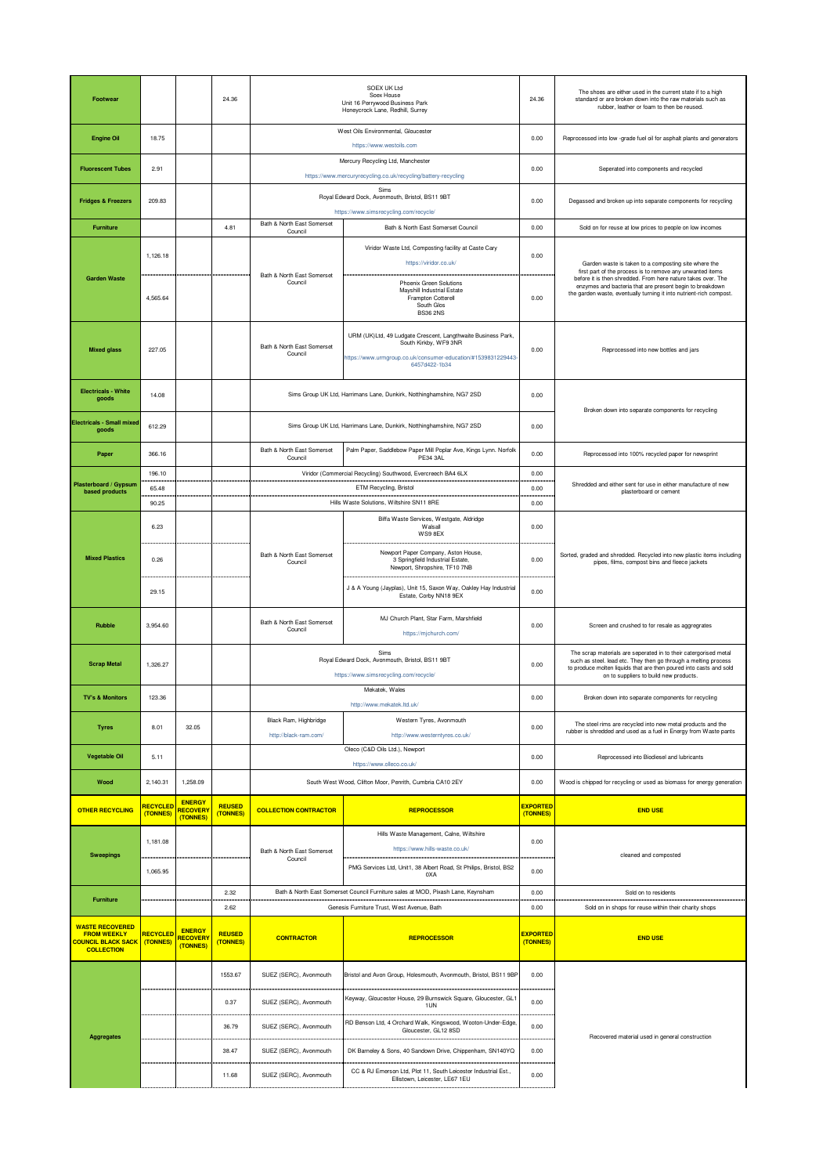| Footwear                                                                                      |                             |                                              | 24.36                     | SOEX UK Ltd<br>Soex House<br>Unit 16 Perrywood Business Park<br>Honeycrock Lane, Redhill, Surrey    |                                                                                                                                                                         | 24.36                       | The shoes are either used in the current state if to a high<br>standard or are broken down into the raw materials such as<br>rubber, leather or foam to then be reused.                                                                             |
|-----------------------------------------------------------------------------------------------|-----------------------------|----------------------------------------------|---------------------------|-----------------------------------------------------------------------------------------------------|-------------------------------------------------------------------------------------------------------------------------------------------------------------------------|-----------------------------|-----------------------------------------------------------------------------------------------------------------------------------------------------------------------------------------------------------------------------------------------------|
| <b>Engine Oil</b>                                                                             | 18.75                       |                                              |                           | West Oils Environmental, Gloucester<br>https://www.westoils.com                                     |                                                                                                                                                                         |                             | Reprocessed into low -grade fuel oil for asphalt plants and generators                                                                                                                                                                              |
| <b>Fluorescent Tubes</b>                                                                      | 2.91                        |                                              |                           | Mercury Recycling Ltd, Manchester<br>https://www.mercuryrecycling.co.uk/recycling/battery-recycling |                                                                                                                                                                         | 0.00                        | Seperated into components and recycled                                                                                                                                                                                                              |
| <b>Fridges &amp; Freezers</b>                                                                 | 209.83                      |                                              |                           | Sims<br>Royal Edward Dock, Avonmouth, Bristol, BS11 9BT<br>https://www.simsrecycling.com/recycle/   |                                                                                                                                                                         | 0.00                        | Degassed and broken up into separate components for recycling                                                                                                                                                                                       |
| <b>Furniture</b>                                                                              |                             |                                              | 4.81                      | Bath & North East Somerset<br>Council                                                               | Bath & North East Somerset Council                                                                                                                                      | 0.00                        | Sold on for reuse at low prices to people on low incomes                                                                                                                                                                                            |
| <b>Garden Waste</b>                                                                           | 1,126.18                    |                                              |                           | Bath & North East Somerset                                                                          | Viridor Waste Ltd, Composting facility at Caste Cary<br>https://viridor.co.uk/                                                                                          | 0.00                        | Garden waste is taken to a composting site where the<br>first part of the process is to remove any unwanted items<br>before it is then shredded. From here nature takes over. The                                                                   |
|                                                                                               | 4,565.64                    |                                              |                           | Council                                                                                             | <b>Phoenix Green Solutions</b><br>Mayshill Industrial Estate<br>Frampton Cotterell<br>South Glos<br><b>BS36 2NS</b>                                                     | 0.00                        | enzymes and bacteria that are present begin to breakdown<br>the garden waste, eventually turning it into nutrient-rich compost.                                                                                                                     |
| <b>Mixed glass</b>                                                                            | 227.05                      |                                              |                           | Bath & North East Somerset<br>Council                                                               | URM (UK)Ltd, 49 Ludgate Crescent, Langthwaite Business Park,<br>South Kirkby, WF9 3NR<br>https://www.urmgroup.co.uk/consumer-education/#1539831229443-<br>6457d422-1b34 | 0.00                        | Reprocessed into new bottles and jars                                                                                                                                                                                                               |
| <b>Electricals - White</b><br>goods                                                           | 14.08                       |                                              |                           |                                                                                                     | Sims Group UK Ltd, Harrimans Lane, Dunkirk, Notthinghamshire, NG7 2SD                                                                                                   | 0.00                        | Broken down into separate components for recycling                                                                                                                                                                                                  |
| <b>Electricals - Small mixed</b><br>goods                                                     | 612.29                      |                                              |                           |                                                                                                     | Sims Group UK Ltd, Harrimans Lane, Dunkirk, Notthinghamshire, NG7 2SD                                                                                                   | 0.00                        |                                                                                                                                                                                                                                                     |
| Paper                                                                                         | 366.16                      |                                              |                           | Bath & North East Somerset<br>Council                                                               | Palm Paper, Saddlebow Paper Mill Poplar Ave, Kings Lynn. Norfolk<br>PE34 3AL                                                                                            | 0.00                        | Reprocessed into 100% recycled paper for newsprint                                                                                                                                                                                                  |
|                                                                                               | 196.10                      |                                              |                           |                                                                                                     | Viridor (Commercial Recycling) Southwood, Evercreech BA4 6LX                                                                                                            | 0.00                        |                                                                                                                                                                                                                                                     |
| Plasterboard / Gypsum<br>based products                                                       | 65.48                       |                                              |                           |                                                                                                     | ETM Recycling, Bristol                                                                                                                                                  | 0.00                        | Shredded and either sent for use in either manufacture of new<br>plasterboard or cement                                                                                                                                                             |
|                                                                                               | 90.25<br>6.23               |                                              |                           |                                                                                                     | Hills Waste Solutions, Wiltshire SN11 8RE<br>Biffa Waste Services, Westgate, Aldridge<br>Walsall<br>WS98EX                                                              | 0.00<br>0.00                |                                                                                                                                                                                                                                                     |
| <b>Mixed Plastics</b>                                                                         | 0.26                        |                                              |                           | Bath & North East Somerset<br>Council                                                               | Newport Paper Company, Aston House,<br>3 Springfield Industrial Estate,<br>Newport, Shropshire, TF10 7NB                                                                | 0.00                        | Sorted, graded and shredded. Recycled into new plastic items including<br>pipes, films, compost bins and fleece jackets                                                                                                                             |
|                                                                                               | 29.15                       |                                              |                           |                                                                                                     | J & A Young (Jayplas), Unit 15, Saxon Way, Oakley Hay Industrial<br>Estate, Corby NN18 9EX                                                                              | 0.00                        |                                                                                                                                                                                                                                                     |
| Rubble                                                                                        | 3,954.60                    |                                              |                           | Bath & North East Somerset<br>Council                                                               | MJ Church Plant, Star Farm, Marshfield<br>https://mjchurch.com/                                                                                                         | 0.00                        | Screen and crushed to for resale as aggregrates                                                                                                                                                                                                     |
| <b>Scrap Metal</b>                                                                            | 1,326.27                    |                                              |                           |                                                                                                     | Sims<br>Royal Edward Dock, Avonmouth, Bristol, BS11 9BT<br>https://www.simsrecycling.com/recycle/                                                                       | 0.00                        | The scrap materials are seperated in to their catergorised metal<br>such as steel. lead etc. They then go through a melting process<br>to produce molten liquids that are then poured into casts and sold<br>on to suppliers to build new products. |
| <b>TV's &amp; Monitors</b>                                                                    | 123.36                      |                                              |                           | Mekatek, Wales                                                                                      |                                                                                                                                                                         | 0.00                        |                                                                                                                                                                                                                                                     |
|                                                                                               |                             |                                              |                           |                                                                                                     |                                                                                                                                                                         |                             | Broken down into separate components for recycling                                                                                                                                                                                                  |
| <b>Tyres</b>                                                                                  | 8.01                        | 32.05                                        |                           | Black Ram, Highbridge<br>http://black-ram.com/                                                      | http://www.mekatek.ltd.uk<br>Western Tyres, Avonmouth<br>http://www.westerntyres.co.uk/                                                                                 | 0.00                        | The steel rims are recycled into new metal products and the<br>rubber is shredded and used as a fuel in Energy from Waste pants                                                                                                                     |
| <b>Vegetable Oil</b>                                                                          | 5.11                        |                                              |                           |                                                                                                     | Oleco (C&D Oils Ltd.), Newport                                                                                                                                          | 0.00                        | Reprocessed into Biodiesel and lubricants                                                                                                                                                                                                           |
| Wood                                                                                          | 2,140.31                    | 1,258.09                                     |                           |                                                                                                     | https://www.olleco.co.uk/<br>South West Wood, Clifton Moor, Penrith, Cumbria CA10 2EY                                                                                   | 0.00                        | Wood is chipped for recycling or used as biomass for energy generation                                                                                                                                                                              |
| <b>OTHER RECYCLING</b>                                                                        | <b>RECYCLED</b><br>(TONNES) | <b>ENERGY</b><br><b>RECOVERY</b><br>(TONNES) | <b>REUSED</b><br>(TONNES) | <b>COLLECTION CONTRACTOR</b>                                                                        | <b>REPROCESSOR</b>                                                                                                                                                      | <b>EXPORTED</b><br>(TONNES) | <b>END USE</b>                                                                                                                                                                                                                                      |
|                                                                                               | 1,181.08                    |                                              |                           | Bath & North East Somerset                                                                          | Hills Waste Management, Calne, Wiltshire<br>https://www.hills-waste.co.uk/                                                                                              | 0.00                        |                                                                                                                                                                                                                                                     |
| <b>Sweepings</b>                                                                              | 1,065.95                    |                                              |                           | Council                                                                                             | PMG Services Ltd, Unit1, 38 Albert Road, St Philips, Bristol, BS2<br>0XA                                                                                                | 0.00                        | cleaned and composted                                                                                                                                                                                                                               |
| <b>Furniture</b>                                                                              |                             |                                              | 2.32<br>2.62              |                                                                                                     | Bath & North East Somerset Council Furniture sales at MOD, Pixash Lane, Keynsham<br>Genesis Furniture Trust, West Avenue, Bath                                          | 0.00<br>0.00                | Sold on to residents<br>Sold on in shops for reuse within their charity shops                                                                                                                                                                       |
| <b>WASTE RECOVERED</b><br><b>FROM WEEKLY</b><br><b>OUNCIL BLACK SACK</b><br><b>COLLECTION</b> | <b>RECYCLED</b><br>(TONNES) | <b>ENERGY</b><br><b>RECOVERY</b><br>(TONNES) | <b>REUSED</b><br>(TONNES) | <b>CONTRACTOR</b>                                                                                   | <b>REPROCESSOR</b>                                                                                                                                                      | <b>EXPORTED</b><br>(TONNES) | <b>END USE</b>                                                                                                                                                                                                                                      |
|                                                                                               |                             |                                              | 1553.67                   | SUEZ (SERC), Avonmouth                                                                              | Bristol and Avon Group, Holesmouth, Avonmouth, Bristol, BS11 9BP                                                                                                        | 0.00                        |                                                                                                                                                                                                                                                     |
|                                                                                               |                             |                                              | 0.37                      | SUEZ (SERC), Avonmouth                                                                              | Keyway, Gloucester House, 29 Burnswick Square, Gloucester, GL1<br>1UN                                                                                                   | 0.00                        |                                                                                                                                                                                                                                                     |
| Aggregates                                                                                    |                             |                                              | 36.79                     | SUEZ (SERC), Avonmouth                                                                              | RD Benson Ltd, 4 Orchard Walk, Kingswood, Wooton-Under-Edge,<br>Gloucester, GL12 8SD                                                                                    | 0.00                        | Recovered material used in general construction                                                                                                                                                                                                     |
|                                                                                               |                             |                                              | 38.47                     | SUEZ (SERC), Avonmouth                                                                              | DK Barneley & Sons, 40 Sandown Drive, Chippenham, SN140YQ                                                                                                               | 0.00                        |                                                                                                                                                                                                                                                     |